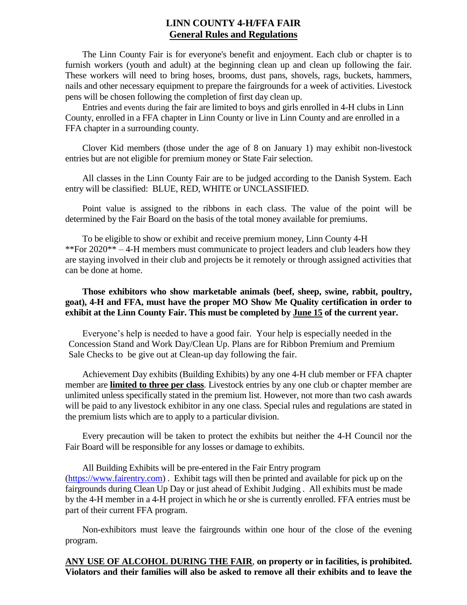# **LINN COUNTY 4-H/FFA FAIR General Rules and Regulations**

The Linn County Fair is for everyone's benefit and enjoyment. Each club or chapter is to furnish workers (youth and adult) at the beginning clean up and clean up following the fair. These workers will need to bring hoses, brooms, dust pans, shovels, rags, buckets, hammers, nails and other necessary equipment to prepare the fairgrounds for a week of activities. Livestock pens will be chosen following the completion of first day clean up.

Entries and events during the fair are limited to boys and girls enrolled in 4-H clubs in Linn County, enrolled in a FFA chapter in Linn County or live in Linn County and are enrolled in a FFA chapter in a surrounding county.

Clover Kid members (those under the age of 8 on January 1) may exhibit non-livestock entries but are not eligible for premium money or State Fair selection.

All classes in the Linn County Fair are to be judged according to the Danish System. Each entry will be classified: BLUE, RED, WHITE or UNCLASSIFIED.

Point value is assigned to the ribbons in each class. The value of the point will be determined by the Fair Board on the basis of the total money available for premiums.

To be eligible to show or exhibit and receive premium money, Linn County 4-H \*\*For 2020\*\* – 4-H members must communicate to project leaders and club leaders how they are staying involved in their club and projects be it remotely or through assigned activities that can be done at home.

## **Those exhibitors who show marketable animals (beef, sheep, swine, rabbit, poultry, goat), 4-H and FFA, must have the proper MO Show Me Quality certification in order to exhibit at the Linn County Fair. This must be completed by June 15 of the current year.**

Everyone's help is needed to have a good fair. Your help is especially needed in the Concession Stand and Work Day/Clean Up. Plans are for Ribbon Premium and Premium Sale Checks to be give out at Clean-up day following the fair.

Achievement Day exhibits (Building Exhibits) by any one 4-H club member or FFA chapter member are **limited to three per class**. Livestock entries by any one club or chapter member are unlimited unless specifically stated in the premium list. However, not more than two cash awards will be paid to any livestock exhibitor in any one class. Special rules and regulations are stated in the premium lists which are to apply to a particular division.

Every precaution will be taken to protect the exhibits but neither the 4-H Council nor the Fair Board will be responsible for any losses or damage to exhibits.

All Building Exhibits will be pre-entered in the Fair Entry program [\(https://www.fairentry.com\)](https://www.fairentry.com/) . Exhibit tags will then be printed and available for pick up on the fairgrounds during Clean Up Day or just ahead of Exhibit Judging . All exhibits must be made by the 4-H member in a 4-H project in which he or she is currently enrolled. FFA entries must be part of their current FFA program.

Non-exhibitors must leave the fairgrounds within one hour of the close of the evening program.

**ANY USE OF ALCOHOL DURING THE FAIR**, **on property or in facilities, is prohibited. Violators and their families will also be asked to remove all their exhibits and to leave the**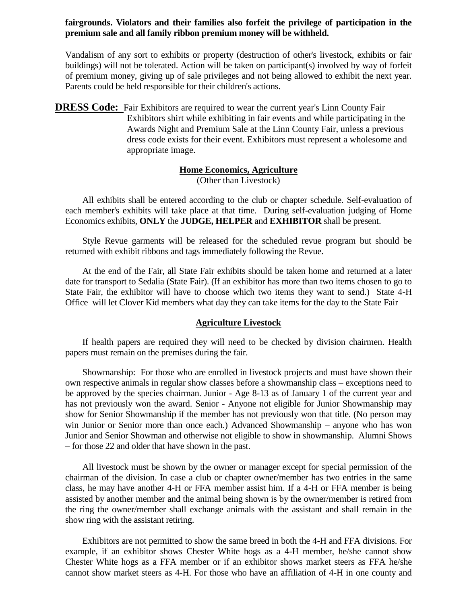#### **fairgrounds. Violators and their families also forfeit the privilege of participation in the premium sale and all family ribbon premium money will be withheld.**

Vandalism of any sort to exhibits or property (destruction of other's livestock, exhibits or fair buildings) will not be tolerated. Action will be taken on participant(s) involved by way of forfeit of premium money, giving up of sale privileges and not being allowed to exhibit the next year. Parents could be held responsible for their children's actions.

**DRESS Code:** Fair Exhibitors are required to wear the current year's Linn County Fair Exhibitors shirt while exhibiting in fair events and while participating in the Awards Night and Premium Sale at the Linn County Fair, unless a previous dress code exists for their event. Exhibitors must represent a wholesome and appropriate image.

# **Home Economics, Agriculture**

(Other than Livestock)

All exhibits shall be entered according to the club or chapter schedule. Self-evaluation of each member's exhibits will take place at that time. During self-evaluation judging of Home Economics exhibits, **ONLY** the **JUDGE, HELPER** and **EXHIBITOR** shall be present.

Style Revue garments will be released for the scheduled revue program but should be returned with exhibit ribbons and tags immediately following the Revue.

At the end of the Fair, all State Fair exhibits should be taken home and returned at a later date for transport to Sedalia (State Fair). (If an exhibitor has more than two items chosen to go to State Fair, the exhibitor will have to choose which two items they want to send.) State 4-H Office will let Clover Kid members what day they can take items for the day to the State Fair

#### **Agriculture Livestock**

If health papers are required they will need to be checked by division chairmen. Health papers must remain on the premises during the fair.

Showmanship: For those who are enrolled in livestock projects and must have shown their own respective animals in regular show classes before a showmanship class – exceptions need to be approved by the species chairman. Junior - Age 8-13 as of January 1 of the current year and has not previously won the award. Senior - Anyone not eligible for Junior Showmanship may show for Senior Showmanship if the member has not previously won that title. (No person may win Junior or Senior more than once each.) Advanced Showmanship – anyone who has won Junior and Senior Showman and otherwise not eligible to show in showmanship. Alumni Shows – for those 22 and older that have shown in the past.

All livestock must be shown by the owner or manager except for special permission of the chairman of the division. In case a club or chapter owner/member has two entries in the same class, he may have another 4-H or FFA member assist him. If a 4-H or FFA member is being assisted by another member and the animal being shown is by the owner/member is retired from the ring the owner/member shall exchange animals with the assistant and shall remain in the show ring with the assistant retiring.

Exhibitors are not permitted to show the same breed in both the 4-H and FFA divisions. For example, if an exhibitor shows Chester White hogs as a 4-H member, he/she cannot show Chester White hogs as a FFA member or if an exhibitor shows market steers as FFA he/she cannot show market steers as 4-H. For those who have an affiliation of 4-H in one county and